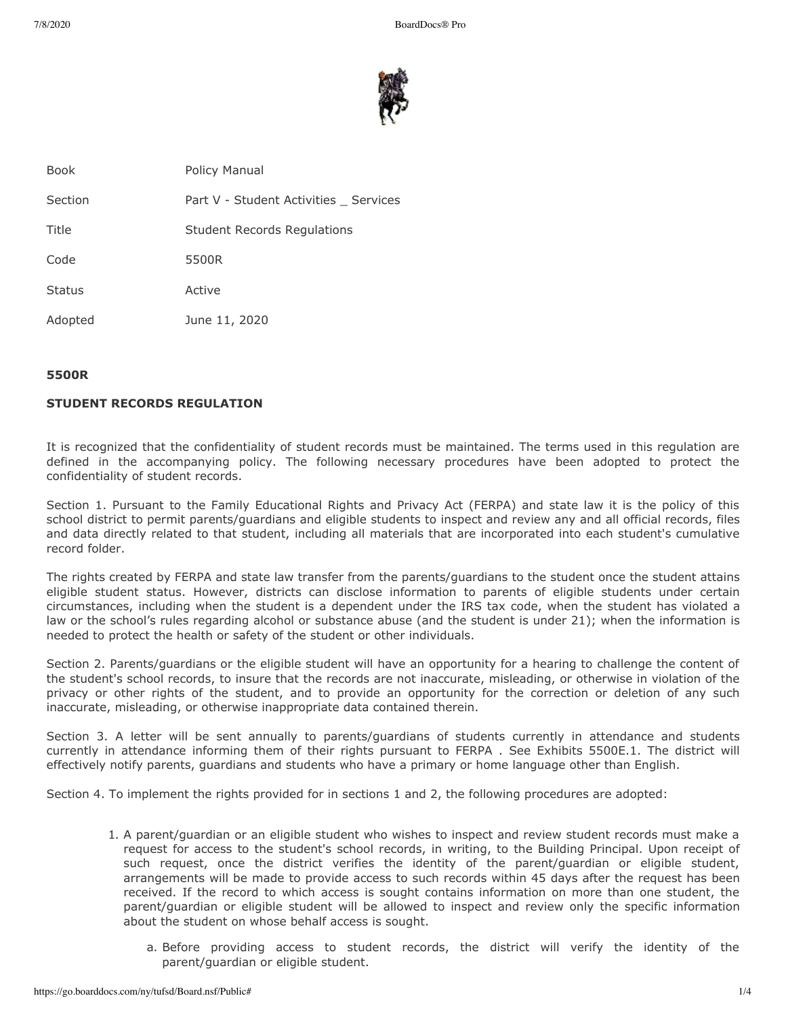

| Book          | Policy Manual                        |
|---------------|--------------------------------------|
| Section       | Part V - Student Activities Services |
| Title         | <b>Student Records Regulations</b>   |
| Code          | 5500R                                |
| <b>Status</b> | Active                               |
| Adopted       | June 11, 2020                        |
|               |                                      |

## **5500R**

# **STUDENT RECORDS REGULATION**

It is recognized that the confidentiality of student records must be maintained. The terms used in this regulation are defined in the accompanying policy. The following necessary procedures have been adopted to protect the confidentiality of student records.

Section 1. Pursuant to the Family Educational Rights and Privacy Act (FERPA) and state law it is the policy of this school district to permit parents/guardians and eligible students to inspect and review any and all official records, files and data directly related to that student, including all materials that are incorporated into each student's cumulative record folder.

The rights created by FERPA and state law transfer from the parents/guardians to the student once the student attains eligible student status. However, districts can disclose information to parents of eligible students under certain circumstances, including when the student is a dependent under the IRS tax code, when the student has violated a law or the school's rules regarding alcohol or substance abuse (and the student is under 21); when the information is needed to protect the health or safety of the student or other individuals.

Section 2. Parents/guardians or the eligible student will have an opportunity for a hearing to challenge the content of the student's school records, to insure that the records are not inaccurate, misleading, or otherwise in violation of the privacy or other rights of the student, and to provide an opportunity for the correction or deletion of any such inaccurate, misleading, or otherwise inappropriate data contained therein.

Section 3. A letter will be sent annually to parents/guardians of students currently in attendance and students currently in attendance informing them of their rights pursuant to FERPA . See Exhibits 5500E.1. The district will effectively notify parents, guardians and students who have a primary or home language other than English.

Section 4. To implement the rights provided for in sections 1 and 2, the following procedures are adopted:

- 1. A parent/guardian or an eligible student who wishes to inspect and review student records must make a request for access to the student's school records, in writing, to the Building Principal. Upon receipt of such request, once the district verifies the identity of the parent/guardian or eligible student, arrangements will be made to provide access to such records within 45 days after the request has been received. If the record to which access is sought contains information on more than one student, the parent/guardian or eligible student will be allowed to inspect and review only the specific information about the student on whose behalf access is sought.
	- a. Before providing access to student records, the district will verify the identity of the parent/guardian or eligible student.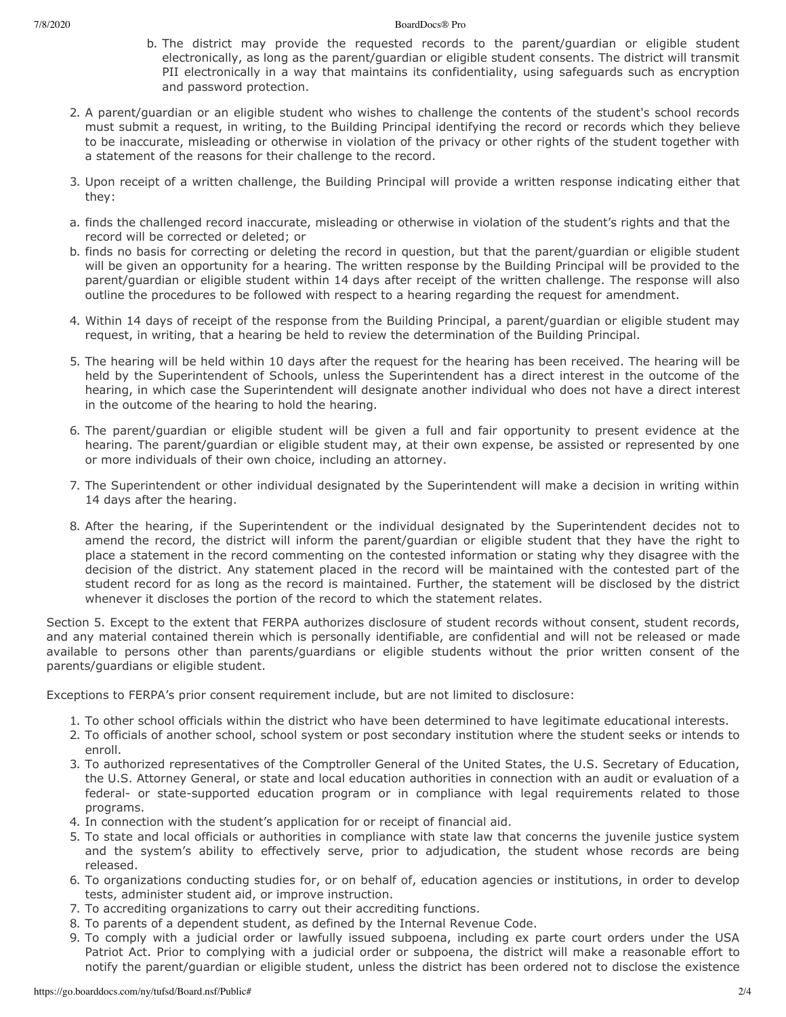- b. The district may provide the requested records to the parent/guardian or eligible student electronically, as long as the parent/guardian or eligible student consents. The district will transmit PII electronically in a way that maintains its confidentiality, using safeguards such as encryption and password protection.
- 2. A parent/guardian or an eligible student who wishes to challenge the contents of the student's school records must submit a request, in writing, to the Building Principal identifying the record or records which they believe to be inaccurate, misleading or otherwise in violation of the privacy or other rights of the student together with a statement of the reasons for their challenge to the record.
- 3. Upon receipt of a written challenge, the Building Principal will provide a written response indicating either that they:
- a. finds the challenged record inaccurate, misleading or otherwise in violation of the student's rights and that the record will be corrected or deleted; or
- b. finds no basis for correcting or deleting the record in question, but that the parent/guardian or eligible student will be given an opportunity for a hearing. The written response by the Building Principal will be provided to the parent/guardian or eligible student within 14 days after receipt of the written challenge. The response will also outline the procedures to be followed with respect to a hearing regarding the request for amendment.
- 4. Within 14 days of receipt of the response from the Building Principal, a parent/guardian or eligible student may request, in writing, that a hearing be held to review the determination of the Building Principal.
- 5. The hearing will be held within 10 days after the request for the hearing has been received. The hearing will be held by the Superintendent of Schools, unless the Superintendent has a direct interest in the outcome of the hearing, in which case the Superintendent will designate another individual who does not have a direct interest in the outcome of the hearing to hold the hearing.
- 6. The parent/guardian or eligible student will be given a full and fair opportunity to present evidence at the hearing. The parent/guardian or eligible student may, at their own expense, be assisted or represented by one or more individuals of their own choice, including an attorney.
- 7. The Superintendent or other individual designated by the Superintendent will make a decision in writing within 14 days after the hearing.
- 8. After the hearing, if the Superintendent or the individual designated by the Superintendent decides not to amend the record, the district will inform the parent/guardian or eligible student that they have the right to place a statement in the record commenting on the contested information or stating why they disagree with the decision of the district. Any statement placed in the record will be maintained with the contested part of the student record for as long as the record is maintained. Further, the statement will be disclosed by the district whenever it discloses the portion of the record to which the statement relates.

Section 5. Except to the extent that FERPA authorizes disclosure of student records without consent, student records, and any material contained therein which is personally identifiable, are confidential and will not be released or made available to persons other than parents/guardians or eligible students without the prior written consent of the parents/guardians or eligible student.

Exceptions to FERPA's prior consent requirement include, but are not limited to disclosure:

- 1. To other school officials within the district who have been determined to have legitimate educational interests.
- 2. To officials of another school, school system or post secondary institution where the student seeks or intends to enroll.
- 3. To authorized representatives of the Comptroller General of the United States, the U.S. Secretary of Education, the U.S. Attorney General, or state and local education authorities in connection with an audit or evaluation of a federal- or state-supported education program or in compliance with legal requirements related to those programs.
- 4. In connection with the student's application for or receipt of financial aid.
- 5. To state and local officials or authorities in compliance with state law that concerns the juvenile justice system and the system's ability to effectively serve, prior to adjudication, the student whose records are being released.
- 6. To organizations conducting studies for, or on behalf of, education agencies or institutions, in order to develop tests, administer student aid, or improve instruction.
- 7. To accrediting organizations to carry out their accrediting functions.
- 8. To parents of a dependent student, as defined by the Internal Revenue Code.
- 9. To comply with a judicial order or lawfully issued subpoena, including ex parte court orders under the USA Patriot Act. Prior to complying with a judicial order or subpoena, the district will make a reasonable effort to notify the parent/guardian or eligible student, unless the district has been ordered not to disclose the existence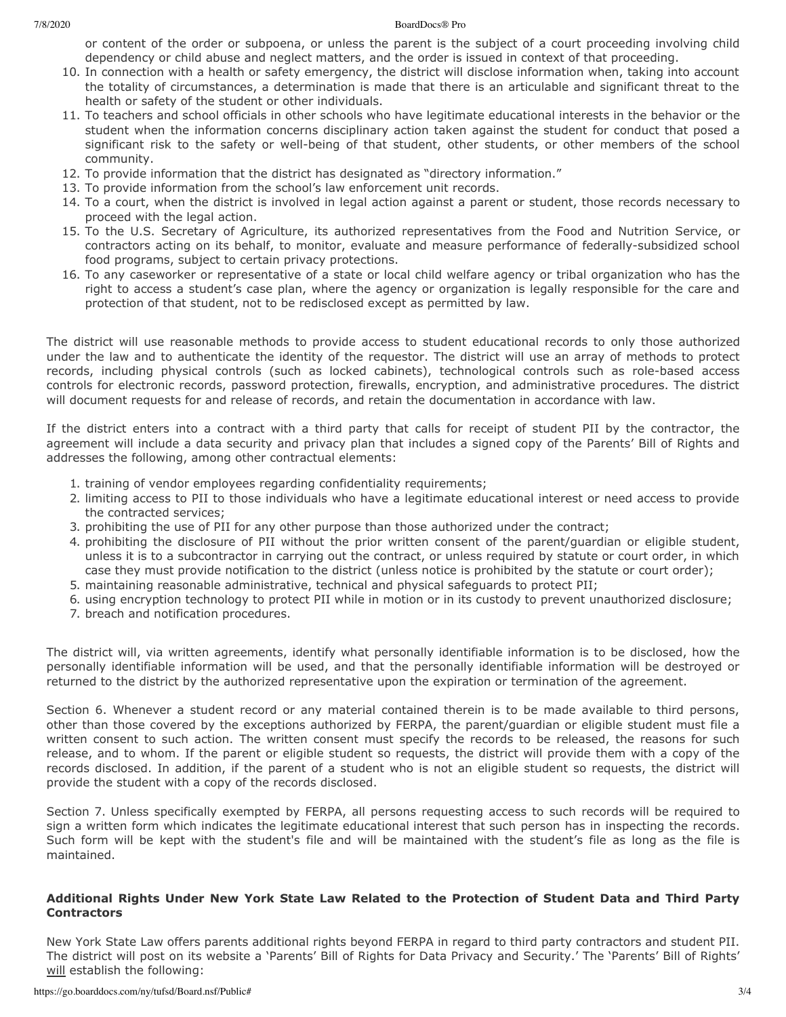#### 7/8/2020 BoardDocs® Pro

or content of the order or subpoena, or unless the parent is the subject of a court proceeding involving child dependency or child abuse and neglect matters, and the order is issued in context of that proceeding.

- 10. In connection with a health or safety emergency, the district will disclose information when, taking into account the totality of circumstances, a determination is made that there is an articulable and significant threat to the health or safety of the student or other individuals.
- 11. To teachers and school officials in other schools who have legitimate educational interests in the behavior or the student when the information concerns disciplinary action taken against the student for conduct that posed a significant risk to the safety or well-being of that student, other students, or other members of the school community.
- 12. To provide information that the district has designated as "directory information."
- 13. To provide information from the school's law enforcement unit records.
- 14. To a court, when the district is involved in legal action against a parent or student, those records necessary to proceed with the legal action.
- 15. To the U.S. Secretary of Agriculture, its authorized representatives from the Food and Nutrition Service, or contractors acting on its behalf, to monitor, evaluate and measure performance of federally-subsidized school food programs, subject to certain privacy protections.
- 16. To any caseworker or representative of a state or local child welfare agency or tribal organization who has the right to access a student's case plan, where the agency or organization is legally responsible for the care and protection of that student, not to be redisclosed except as permitted by law.

The district will use reasonable methods to provide access to student educational records to only those authorized under the law and to authenticate the identity of the requestor. The district will use an array of methods to protect records, including physical controls (such as locked cabinets), technological controls such as role-based access controls for electronic records, password protection, firewalls, encryption, and administrative procedures. The district will document requests for and release of records, and retain the documentation in accordance with law.

If the district enters into a contract with a third party that calls for receipt of student PII by the contractor, the agreement will include a data security and privacy plan that includes a signed copy of the Parents' Bill of Rights and addresses the following, among other contractual elements:

- 1. training of vendor employees regarding confidentiality requirements;
- 2. limiting access to PII to those individuals who have a legitimate educational interest or need access to provide the contracted services;
- 3. prohibiting the use of PII for any other purpose than those authorized under the contract;
- 4. prohibiting the disclosure of PII without the prior written consent of the parent/guardian or eligible student, unless it is to a subcontractor in carrying out the contract, or unless required by statute or court order, in which case they must provide notification to the district (unless notice is prohibited by the statute or court order);
- 5. maintaining reasonable administrative, technical and physical safeguards to protect PII;
- 6. using encryption technology to protect PII while in motion or in its custody to prevent unauthorized disclosure;
- 7. breach and notification procedures.

The district will, via written agreements, identify what personally identifiable information is to be disclosed, how the personally identifiable information will be used, and that the personally identifiable information will be destroyed or returned to the district by the authorized representative upon the expiration or termination of the agreement.

Section 6. Whenever a student record or any material contained therein is to be made available to third persons, other than those covered by the exceptions authorized by FERPA, the parent/guardian or eligible student must file a written consent to such action. The written consent must specify the records to be released, the reasons for such release, and to whom. If the parent or eligible student so requests, the district will provide them with a copy of the records disclosed. In addition, if the parent of a student who is not an eligible student so requests, the district will provide the student with a copy of the records disclosed.

Section 7. Unless specifically exempted by FERPA, all persons requesting access to such records will be required to sign a written form which indicates the legitimate educational interest that such person has in inspecting the records. Such form will be kept with the student's file and will be maintained with the student's file as long as the file is maintained.

### **Additional Rights Under New York State Law Related to the Protection of Student Data and Third Party Contractors**

New York State Law offers parents additional rights beyond FERPA in regard to third party contractors and student PII. The district will post on its website a 'Parents' Bill of Rights for Data Privacy and Security.' The 'Parents' Bill of Rights' will establish the following: